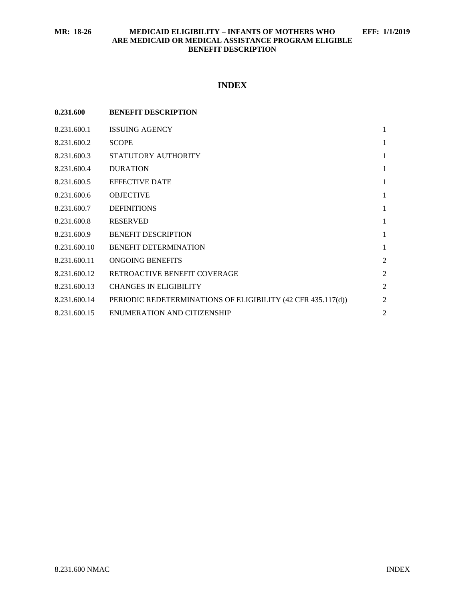# **INDEX**

| 8.231.600    | <b>BENEFIT DESCRIPTION</b>                                   |                |
|--------------|--------------------------------------------------------------|----------------|
| 8.231.600.1  | <b>ISSUING AGENCY</b>                                        | $\mathbf{1}$   |
| 8.231.600.2  | <b>SCOPE</b>                                                 | 1              |
| 8.231.600.3  | STATUTORY AUTHORITY                                          | $\mathbf{1}$   |
| 8.231.600.4  | <b>DURATION</b>                                              | $\mathbf{1}$   |
| 8.231.600.5  | <b>EFFECTIVE DATE</b>                                        | $\mathbf{1}$   |
| 8.231.600.6  | <b>OBJECTIVE</b>                                             | $\mathbf{1}$   |
| 8.231.600.7  | <b>DEFINITIONS</b>                                           | $\mathbf{1}$   |
| 8.231.600.8  | <b>RESERVED</b>                                              | $\mathbf{1}$   |
| 8.231.600.9  | <b>BENEFIT DESCRIPTION</b>                                   | 1              |
| 8.231.600.10 | <b>BENEFIT DETERMINATION</b>                                 | $\mathbf{1}$   |
| 8.231.600.11 | <b>ONGOING BENEFITS</b>                                      | $\overline{2}$ |
| 8.231.600.12 | RETROACTIVE BENEFIT COVERAGE                                 | $\overline{2}$ |
| 8.231.600.13 | <b>CHANGES IN ELIGIBILITY</b>                                | $\overline{2}$ |
| 8.231.600.14 | PERIODIC REDETERMINATIONS OF ELIGIBILITY (42 CFR 435.117(d)) | $\overline{2}$ |
| 8.231.600.15 | <b>ENUMERATION AND CITIZENSHIP</b>                           | $\overline{2}$ |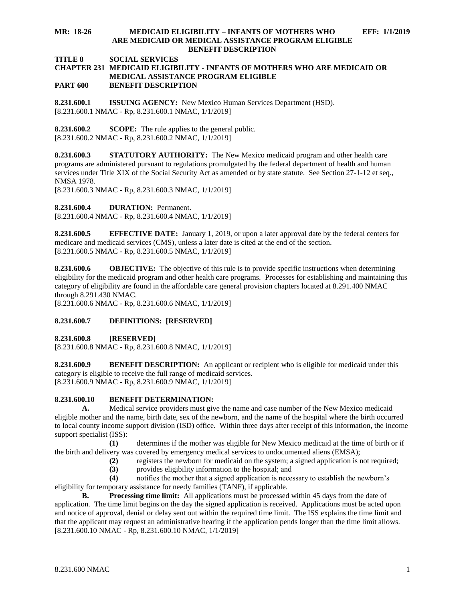#### **MR: 18-26 MEDICAID ELIGIBILITY – INFANTS OF MOTHERS WHO EFF: 1/1/2019 ARE MEDICAID OR MEDICAL ASSISTANCE PROGRAM ELIGIBLE BENEFIT DESCRIPTION**

**TITLE 8 SOCIAL SERVICES**

#### **CHAPTER 231 MEDICAID ELIGIBILITY - INFANTS OF MOTHERS WHO ARE MEDICAID OR MEDICAL ASSISTANCE PROGRAM ELIGIBLE PART 600 BENEFIT DESCRIPTION**

<span id="page-1-0"></span>**8.231.600.1 ISSUING AGENCY:** New Mexico Human Services Department (HSD). [8.231.600.1 NMAC - Rp, 8.231.600.1 NMAC, 1/1/2019]

<span id="page-1-1"></span>**8.231.600.2 SCOPE:** The rule applies to the general public. [8.231.600.2 NMAC - Rp, 8.231.600.2 NMAC, 1/1/2019]

<span id="page-1-2"></span>**8.231.600.3 STATUTORY AUTHORITY:** The New Mexico medicaid program and other health care programs are administered pursuant to regulations promulgated by the federal department of health and human services under Title XIX of the Social Security Act as amended or by state statute. See Section 27-1-12 et seq., NMSA 1978.

[8.231.600.3 NMAC - Rp, 8.231.600.3 NMAC, 1/1/2019]

<span id="page-1-3"></span>**8.231.600.4 DURATION:** Permanent.

[8.231.600.4 NMAC - Rp, 8.231.600.4 NMAC, 1/1/2019]

<span id="page-1-4"></span>**8.231.600.5 EFFECTIVE DATE:** January 1, 2019, or upon a later approval date by the federal centers for medicare and medicaid services (CMS), unless a later date is cited at the end of the section. [8.231.600.5 NMAC - Rp, 8.231.600.5 NMAC, 1/1/2019]

<span id="page-1-5"></span>**8.231.600.6 OBJECTIVE:** The objective of this rule is to provide specific instructions when determining eligibility for the medicaid program and other health care programs. Processes for establishing and maintaining this category of eligibility are found in the affordable care general provision chapters located at 8.291.400 NMAC through 8.291.430 NMAC.

[8.231.600.6 NMAC - Rp, 8.231.600.6 NMAC, 1/1/2019]

### <span id="page-1-6"></span>**8.231.600.7 DEFINITIONS: [RESERVED]**

<span id="page-1-7"></span>**8.231.600.8 [RESERVED]**

[8.231.600.8 NMAC - Rp, 8.231.600.8 NMAC, 1/1/2019]

<span id="page-1-8"></span>**8.231.600.9 BENEFIT DESCRIPTION:** An applicant or recipient who is eligible for medicaid under this category is eligible to receive the full range of medicaid services. [8.231.600.9 NMAC - Rp, 8.231.600.9 NMAC, 1/1/2019]

## <span id="page-1-9"></span>**8.231.600.10 BENEFIT DETERMINATION:**

**A.** Medical service providers must give the name and case number of the New Mexico medicaid eligible mother and the name, birth date, sex of the newborn, and the name of the hospital where the birth occurred to local county income support division (ISD) office. Within three days after receipt of this information, the income support specialist (ISS):

**(1)** determines if the mother was eligible for New Mexico medicaid at the time of birth or if the birth and delivery was covered by emergency medical services to undocumented aliens (EMSA);

- **(2)** registers the newborn for medicaid on the system; a signed application is not required;
- **(3)** provides eligibility information to the hospital; and

**(4)** notifies the mother that a signed application is necessary to establish the newborn's eligibility for temporary assistance for needy families (TANF), if applicable.

**B. Processing time limit:** All applications must be processed within 45 days from the date of application. The time limit begins on the day the signed application is received. Applications must be acted upon and notice of approval, denial or delay sent out within the required time limit. The ISS explains the time limit and that the applicant may request an administrative hearing if the application pends longer than the time limit allows.  $[8.231.600.10 NMAC - Rp, 8.231.600.10 NMAC, 1/1/2019]$